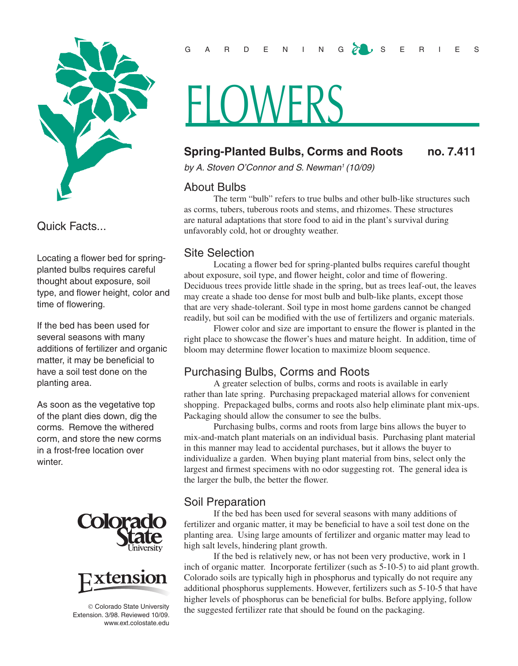

Quick Facts...

Locating a flower bed for springplanted bulbs requires careful thought about exposure, soil type, and flower height, color and time of flowering.

If the bed has been used for several seasons with many additions of fertilizer and organic matter, it may be beneficial to have a soil test done on the planting area.

As soon as the vegetative top of the plant dies down, dig the corms. Remove the withered corm, and store the new corms in a frost-free location over winter.





© Colorado State University Extension. 3/98. Reviewed 10/09. www.ext.colostate.edu

#### G A R D E N I N G <mark>A</mark> U S E R I E S

# -I ( )WFRS

### **Spring-Planted Bulbs, Corms and Roots no. 7.411**

*by A. Stoven O'Connor and S. Newman1 (10/09)*

#### About Bulbs

The term "bulb" refers to true bulbs and other bulb-like structures such as corms, tubers, tuberous roots and stems, and rhizomes. These structures are natural adaptations that store food to aid in the plant's survival during unfavorably cold, hot or droughty weather.

#### Site Selection

Locating a flower bed for spring-planted bulbs requires careful thought about exposure, soil type, and flower height, color and time of flowering. Deciduous trees provide little shade in the spring, but as trees leaf-out, the leaves may create a shade too dense for most bulb and bulb-like plants, except those that are very shade-tolerant. Soil type in most home gardens cannot be changed readily, but soil can be modified with the use of fertilizers and organic materials.

Flower color and size are important to ensure the flower is planted in the right place to showcase the flower's hues and mature height. In addition, time of bloom may determine flower location to maximize bloom sequence.

#### Purchasing Bulbs, Corms and Roots

A greater selection of bulbs, corms and roots is available in early rather than late spring. Purchasing prepackaged material allows for convenient shopping. Prepackaged bulbs, corms and roots also help eliminate plant mix-ups. Packaging should allow the consumer to see the bulbs.

Purchasing bulbs, corms and roots from large bins allows the buyer to mix-and-match plant materials on an individual basis. Purchasing plant material in this manner may lead to accidental purchases, but it allows the buyer to individualize a garden. When buying plant material from bins, select only the largest and firmest specimens with no odor suggesting rot. The general idea is the larger the bulb, the better the flower.

#### Soil Preparation

If the bed has been used for several seasons with many additions of fertilizer and organic matter, it may be beneficial to have a soil test done on the planting area. Using large amounts of fertilizer and organic matter may lead to high salt levels, hindering plant growth.

If the bed is relatively new, or has not been very productive, work in 1 inch of organic matter. Incorporate fertilizer (such as 5-10-5) to aid plant growth. Colorado soils are typically high in phosphorus and typically do not require any additional phosphorus supplements. However, fertilizers such as 5-10-5 that have higher levels of phosphorus can be beneficial for bulbs. Before applying, follow the suggested fertilizer rate that should be found on the packaging.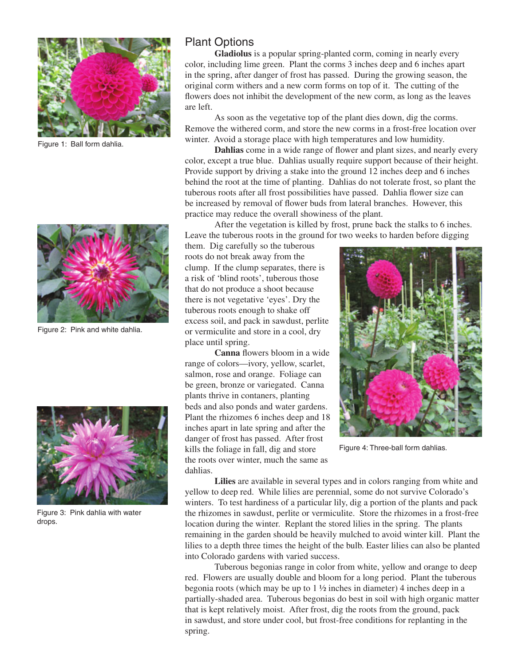

Figure 1: Ball form dahlia.



Figure 2: Pink and white dahlia.



Figure 3: Pink dahlia with water drops.

## Plant Options

**Gladiolus** is a popular spring-planted corm, coming in nearly every color, including lime green. Plant the corms 3 inches deep and 6 inches apart in the spring, after danger of frost has passed. During the growing season, the original corm withers and a new corm forms on top of it. The cutting of the flowers does not inhibit the development of the new corm, as long as the leaves are left.

As soon as the vegetative top of the plant dies down, dig the corms. Remove the withered corm, and store the new corms in a frost-free location over winter. Avoid a storage place with high temperatures and low humidity.

**Dahlias** come in a wide range of flower and plant sizes, and nearly every color, except a true blue. Dahlias usually require support because of their height. Provide support by driving a stake into the ground 12 inches deep and 6 inches behind the root at the time of planting. Dahlias do not tolerate frost, so plant the tuberous roots after all frost possibilities have passed. Dahlia flower size can be increased by removal of flower buds from lateral branches. However, this practice may reduce the overall showiness of the plant.

After the vegetation is killed by frost, prune back the stalks to 6 inches. Leave the tuberous roots in the ground for two weeks to harden before digging

them. Dig carefully so the tuberous roots do not break away from the clump. If the clump separates, there is a risk of 'blind roots', tuberous those that do not produce a shoot because there is not vegetative 'eyes'. Dry the tuberous roots enough to shake off excess soil, and pack in sawdust, perlite or vermiculite and store in a cool, dry place until spring.

**Canna** flowers bloom in a wide range of colors—ivory, yellow, scarlet, salmon, rose and orange. Foliage can be green, bronze or variegated. Canna plants thrive in contaners, planting beds and also ponds and water gardens. Plant the rhizomes 6 inches deep and 18 inches apart in late spring and after the danger of frost has passed. After frost kills the foliage in fall, dig and store the roots over winter, much the same as dahlias.



Figure 4: Three-ball form dahlias.

**Lilies** are available in several types and in colors ranging from white and yellow to deep red. While lilies are perennial, some do not survive Colorado's winters. To test hardiness of a particular lily, dig a portion of the plants and pack the rhizomes in sawdust, perlite or vermiculite. Store the rhizomes in a frost-free location during the winter. Replant the stored lilies in the spring. The plants remaining in the garden should be heavily mulched to avoid winter kill. Plant the lilies to a depth three times the height of the bulb. Easter lilies can also be planted into Colorado gardens with varied success.

Tuberous begonias range in color from white, yellow and orange to deep red. Flowers are usually double and bloom for a long period. Plant the tuberous begonia roots (which may be up to 1 ½ inches in diameter) 4 inches deep in a partially-shaded area. Tuberous begonias do best in soil with high organic matter that is kept relatively moist. After frost, dig the roots from the ground, pack in sawdust, and store under cool, but frost-free conditions for replanting in the spring.